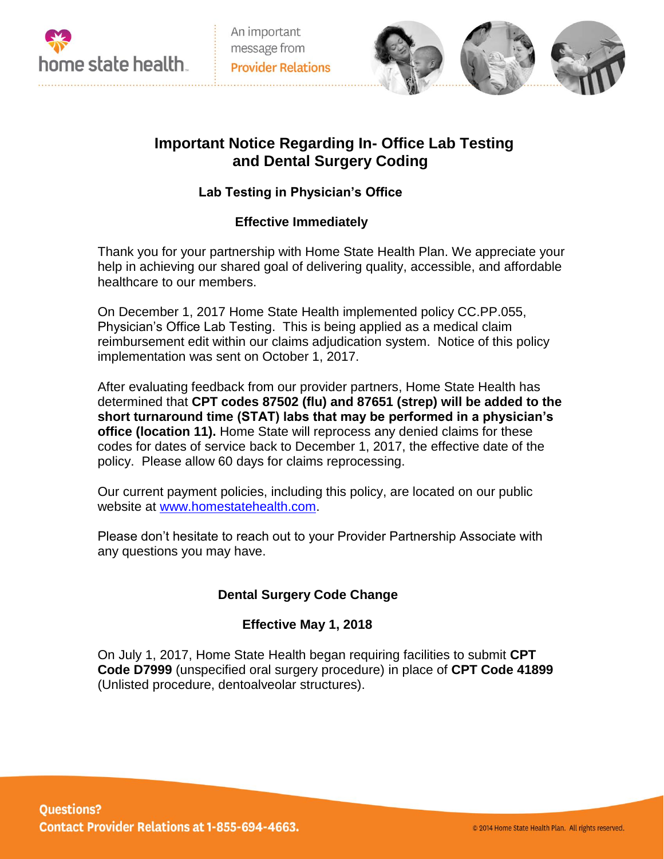



# **Important Notice Regarding In- Office Lab Testing and Dental Surgery Coding**

# **Lab Testing in Physician's Office**

### **Effective Immediately**

Thank you for your partnership with Home State Health Plan. We appreciate your help in achieving our shared goal of delivering quality, accessible, and affordable healthcare to our members.

On December 1, 2017 Home State Health implemented policy CC.PP.055, Physician's Office Lab Testing. This is being applied as a medical claim reimbursement edit within our claims adjudication system. Notice of this policy implementation was sent on October 1, 2017.

After evaluating feedback from our provider partners, Home State Health has determined that **CPT codes 87502 (flu) and 87651 (strep) will be added to the short turnaround time (STAT) labs that may be performed in a physician's office (location 11).** Home State will reprocess any denied claims for these codes for dates of service back to December 1, 2017, the effective date of the policy. Please allow 60 days for claims reprocessing.

Our current payment policies, including this policy, are located on our public website at [www.homestatehealth.com.](http://www.homestatehealth.com/)

Please don't hesitate to reach out to your Provider Partnership Associate with any questions you may have.

# **Dental Surgery Code Change**

#### **Effective May 1, 2018**

On July 1, 2017, Home State Health began requiring facilities to submit **CPT Code D7999** (unspecified oral surgery procedure) in place of **CPT Code 41899** (Unlisted procedure, dentoalveolar structures).